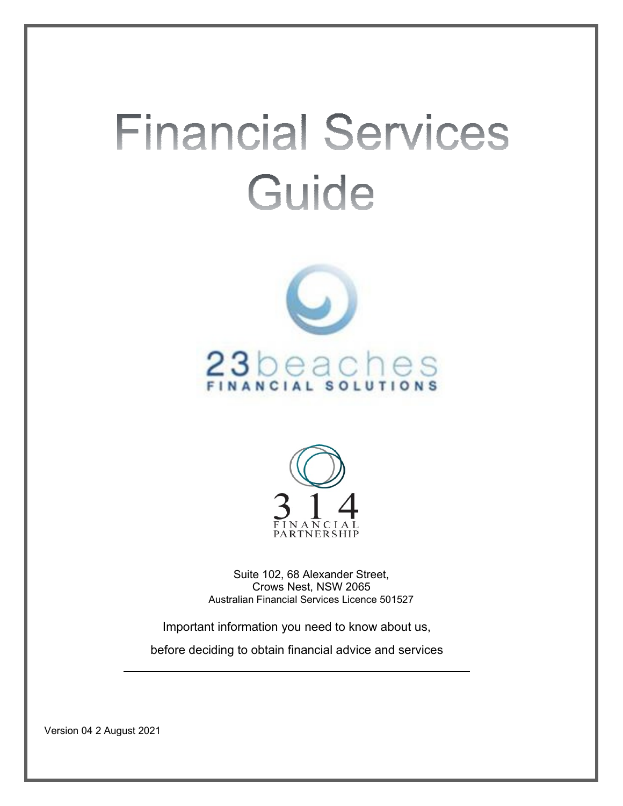# **Financial Services** Guide





Suite 102, 68 Alexander Street, Crows Nest, NSW 2065 Australian Financial Services Licence 501527

Important information you need to know about us,

before deciding to obtain financial advice and services

Version 04 2 August 2021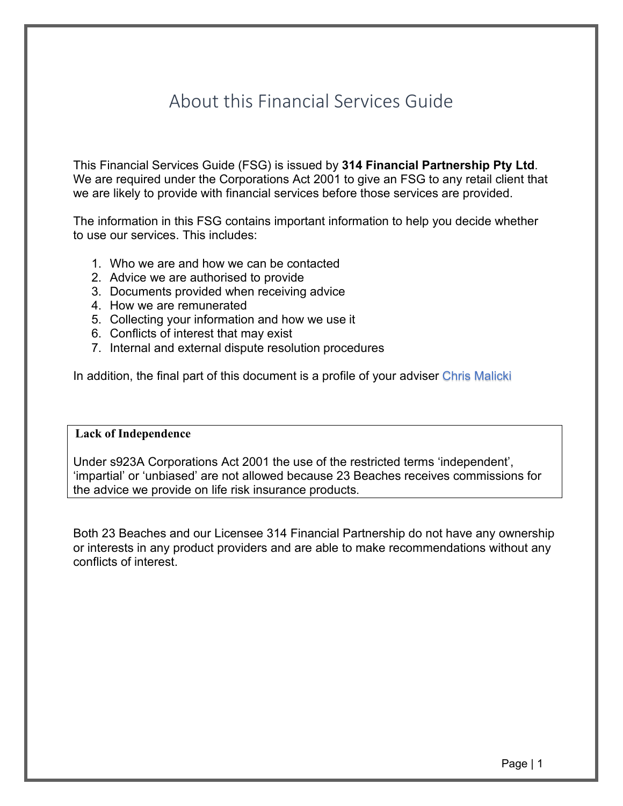# About this Financial Services Guide

This Financial Services Guide (FSG) is issued by **314 Financial Partnership Pty Ltd**. We are required under the Corporations Act 2001 to give an FSG to any retail client that we are likely to provide with financial services before those services are provided.

The information in this FSG contains important information to help you decide whether to use our services. This includes:

- 1. Who we are and how we can be contacted
- 2. Advice we are authorised to provide
- 3. Documents provided when receiving advice
- 4. How we are remunerated
- 5. Collecting your information and how we use it
- 6. Conflicts of interest that may exist
- 7. Internal and external dispute resolution procedures

In addition, the final part of this document is a profile of your adviser Chris Malicki

#### **Lack of Independence**

Under s923A Corporations Act 2001 the use of the restricted terms 'independent', 'impartial' or 'unbiased' are not allowed because 23 Beaches receives commissions for the advice we provide on life risk insurance products.

Both 23 Beaches and our Licensee 314 Financial Partnership do not have any ownership or interests in any product providers and are able to make recommendations without any conflicts of interest.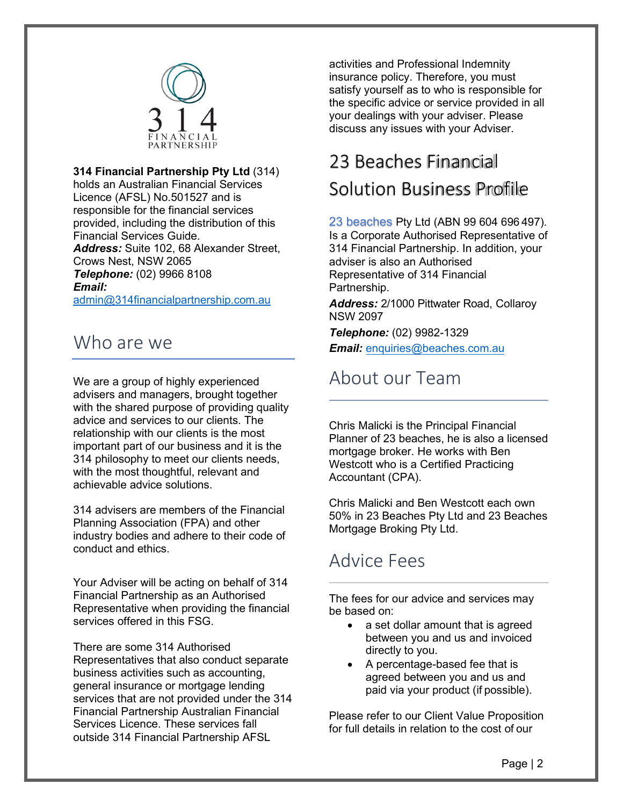

#### **314 Financial Partnership Pty Ltd** (314)

holds an Australian Financial Services Licence (AFSL) No.501527 and is responsible for the financial services provided, including the distribution of this Financial Services Guide. *Address:* Suite 102, 68 Alexander Street, Crows Nest, NSW 2065 *Telephone:* (02) 9966 8108 *Email:*

[admin@314financialpartnership.com.au](mailto:admin@314financialpartnership.com.au)

#### Who are we

We are a group of highly experienced advisers and managers, brought together with the shared purpose of providing quality advice and services to our clients. The relationship with our clients is the most important part of our business and it is the 314 philosophy to meet our clients needs, with the most thoughtful, relevant and achievable advice solutions.

314 advisers are members of the Financial Planning Association (FPA) and other industry bodies and adhere to their code of conduct and ethics.

Your Adviser will be acting on behalf of 314 Financial Partnership as an Authorised Representative when providing the financial services offered in this FSG.

There are some 314 Authorised Representatives that also conduct separate business activities such as accounting, general insurance or mortgage lending services that are not provided under the 314 Financial Partnership Australian Financial Services Licence. These services fall outside 314 Financial Partnership AFSL

activities and Professional Indemnity insurance policy. Therefore, you must satisfy yourself as to who is responsible for the specific advice or service provided in all your dealings with your adviser. Please discuss any issues with your Adviser.

# 23 Beaches Financial Solution Business Profile

23 beaches Pty Ltd (ABN 99 604 696 497). Is a Corporate Authorised Representative of 314 Financial Partnership. In addition, your adviser is also an Authorised Representative of 314 Financial Partnership.

*Address:* 2/1000 Pittwater Road, Collaroy NSW 2097

*Telephone:* (02) 9982-1329 *Email:* [enquiries@beaches.com.au](mailto:enquiries@beaches.com.au)

## About our Team

Chris Malicki is the Principal Financial Planner of 23 beaches, he is also a licensed mortgage broker. He works with Ben Westcott who is a Certified Practicing Accountant (CPA).

Chris Malicki and Ben Westcott each own 50% in 23 Beaches Pty Ltd and 23 Beaches Mortgage Broking Pty Ltd.

## Advice Fees

The fees for our advice and services may be based on:

- a set dollar amount that is agreed between you and us and invoiced directly to you.
- A percentage-based fee that is agreed between you and us and paid via your product (if possible).

Please refer to our Client Value Proposition for full details in relation to the cost of our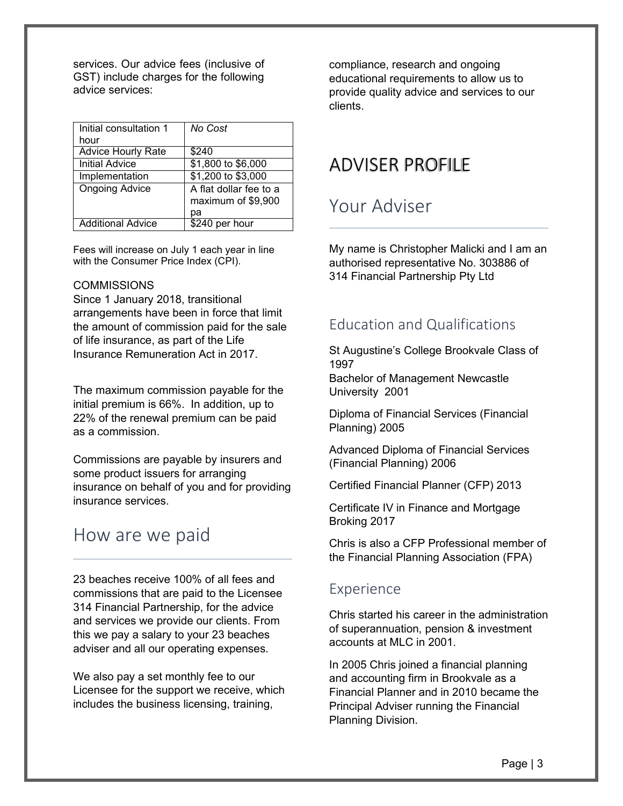services. Our advice fees (inclusive of GST) include charges for the following advice services:

| Initial consultation 1    | No Cost                                      |
|---------------------------|----------------------------------------------|
| hour                      |                                              |
| <b>Advice Hourly Rate</b> | \$240                                        |
| <b>Initial Advice</b>     | \$1,800 to \$6,000                           |
| Implementation            | \$1,200 to \$3,000                           |
| <b>Ongoing Advice</b>     | A flat dollar fee to a<br>maximum of \$9,900 |
|                           | pа                                           |
| <b>Additional Advice</b>  | \$240 per hour                               |

Fees will increase on July 1 each year in line with the Consumer Price Index (CPI).

#### **COMMISSIONS**

Since 1 January 2018, transitional arrangements have been in force that limit the amount of commission paid for the sale of life insurance, as part of the Life Insurance Remuneration Act in 2017.

The maximum commission payable for the initial premium is 66%. In addition, up to 22% of the renewal premium can be paid as a commission.

Commissions are payable by insurers and some product issuers for arranging insurance on behalf of you and for providing insurance services.

#### How are we paid

23 beaches receive 100% of all fees and commissions that are paid to the Licensee 314 Financial Partnership, for the advice and services we provide our clients. From this we pay a salary to your 23 beaches adviser and all our operating expenses.

We also pay a set monthly fee to our Licensee for the support we receive, which includes the business licensing, training,

compliance, research and ongoing educational requirements to allow us to provide quality advice and services to our clients.

#### ADVISER PROFILE

## Your Adviser

My name is Christopher Malicki and I am an authorised representative No. 303886 of 314 Financial Partnership Pty Ltd

#### Education and Qualifications

St Augustine's College Brookvale Class of 1997

Bachelor of Management Newcastle University 2001

Diploma of Financial Services (Financial Planning) 2005

Advanced Diploma of Financial Services (Financial Planning) 2006

Certified Financial Planner (CFP) 2013

Certificate IV in Finance and Mortgage Broking 2017

Chris is also a CFP Professional member of the Financial Planning Association (FPA)

#### Experience

Chris started his career in the administration of superannuation, pension & investment accounts at MLC in 2001.

In 2005 Chris joined a financial planning and accounting firm in Brookvale as a Financial Planner and in 2010 became the Principal Adviser running the Financial Planning Division.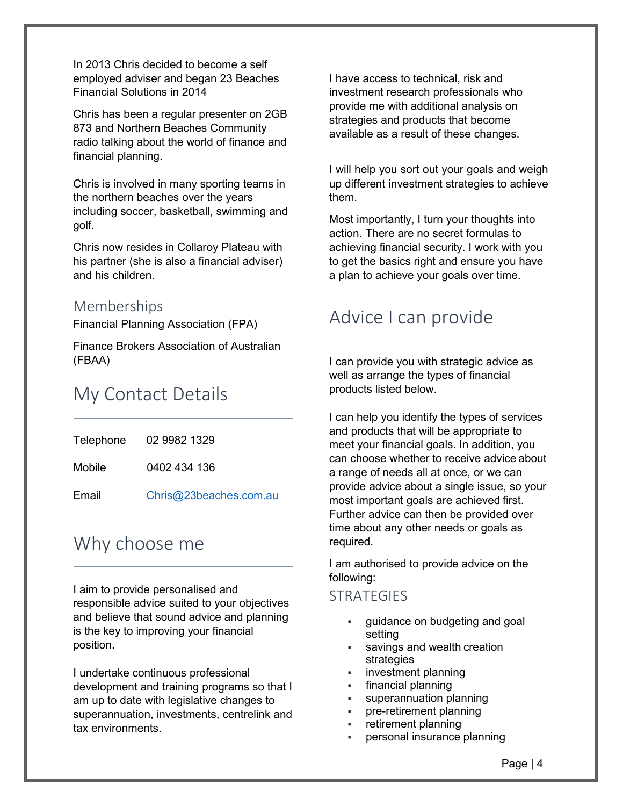In 2013 Chris decided to become a self employed adviser and began 23 Beaches Financial Solutions in 2014

Chris has been a regular presenter on 2GB 873 and Northern Beaches Community radio talking about the world of finance and financial planning.

Chris is involved in many sporting teams in the northern beaches over the years including soccer, basketball, swimming and golf.

Chris now resides in Collaroy Plateau with his partner (she is also a financial adviser) and his children.

#### Memberships

Financial Planning Association (FPA)

Finance Brokers Association of Australian (FBAA)

## My Contact Details

| Telephone | 02 9982 1329           |
|-----------|------------------------|
| Mobile    | 0402 434 136           |
| Email     | Chris@23beaches.com.au |

## Why choose me

I aim to provide personalised and responsible advice suited to your objectives and believe that sound advice and planning is the key to improving your financial position.

I undertake continuous professional development and training programs so that I am up to date with legislative changes to superannuation, investments, centrelink and tax environments.

I have access to technical, risk and investment research professionals who provide me with additional analysis on strategies and products that become available as a result of these changes.

I will help you sort out your goals and weigh up different investment strategies to achieve them.

Most importantly, I turn your thoughts into action. There are no secret formulas to achieving financial security. I work with you to get the basics right and ensure you have a plan to achieve your goals over time.

## Advice I can provide

I can provide you with strategic advice as well as arrange the types of financial products listed below.

I can help you identify the types of services and products that will be appropriate to meet your financial goals. In addition, you can choose whether to receive advice about a range of needs all at once, or we can provide advice about a single issue, so your most important goals are achieved first. Further advice can then be provided over time about any other needs or goals as required.

I am authorised to provide advice on the following:

#### **STRATEGIES**

- guidance on budgeting and goal setting
- savings and wealth creation strategies
- investment planning
- financial planning
- superannuation planning
- pre-retirement planning
- retirement planning
- personal insurance planning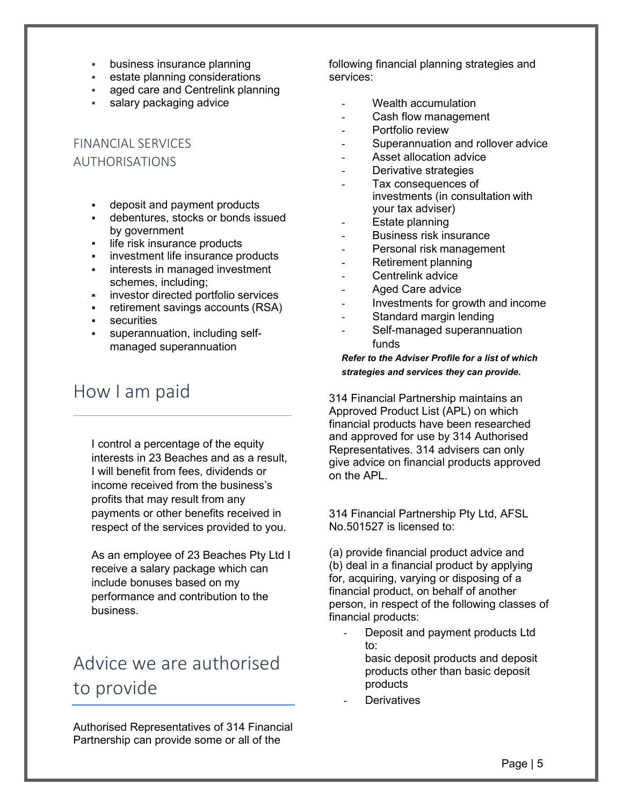- business insurance planning
- estate planning considerations
- **aged care and Centrelink planning**
- salary packaging advice

#### FINANCIAL SERVICES AUTHORISATIONS

- deposit and payment products
- debentures, stocks or bonds issued by government
- **Iffe risk insurance products**
- **i** investment life insurance products
- **interests in managed investment** schemes, including;
- **EXECT** investor directed portfolio services
- retirement savings accounts (RSA)
- securities
- superannuation, including selfmanaged superannuation

## How I am paid

I control a percentage of the equity interests in 23 Beaches and as a result, I will benefit from fees, dividends or income received from the business's profits that may result from any payments or other benefits received in respect of the services provided to you.

As an employee of 23 Beaches Pty Ltd I receive a salary package which can include bonuses based on my performance and contribution to the business.

# Advice we are authorised to provide

Authorised Representatives of 314 Financial Partnership can provide some or all of the

following financial planning strategies and services:

- Wealth accumulation
- Cash flow management
- Portfolio review
- Superannuation and rollover advice
- Asset allocation advice
- Derivative strategies
- Tax consequences of investments (in consultation with your tax adviser)
- Estate planning
- Business risk insurance
- Personal risk management
- Retirement planning
- Centrelink advice
- Aged Care advice
- Investments for growth and income
- Standard margin lending
- Self-managed superannuation funds

#### *Refer to the Adviser Profile for a list of which strategies and services they can provide***.**

314 Financial Partnership maintains an Approved Product List (APL) on which financial products have been researched and approved for use by 314 Authorised Representatives. 314 advisers can only give advice on financial products approved on the APL.

314 Financial Partnership Pty Ltd, AFSL No.501527 is licensed to:

(a) provide financial product advice and (b) deal in a financial product by applying for, acquiring, varying or disposing of a financial product, on behalf of another person, in respect of the following classes of financial products:

Deposit and payment products Ltd to: basic deposit products and deposit

products other than basic deposit products

**Derivatives**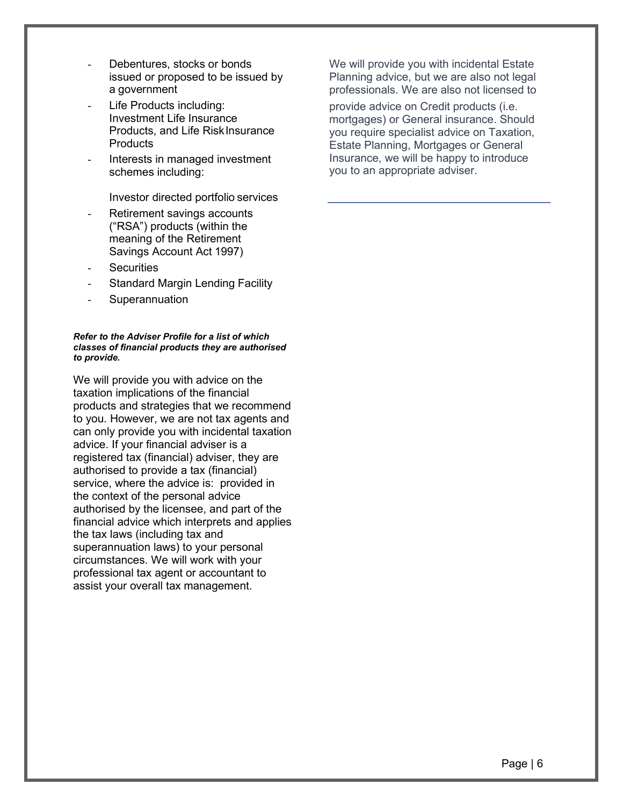- Debentures, stocks or bonds issued or proposed to be issued by a government
- Life Products including: Investment Life Insurance Products, and Life Risk Insurance **Products**
- Interests in managed investment schemes including:

Investor directed portfolio services

- Retirement savings accounts ("RSA") products (within the meaning of the Retirement Savings Account Act 1997)
- **Securities**
- Standard Margin Lending Facility
- **Superannuation**

#### *Refer to the Adviser Profile for a list of which classes of financial products they are authorised to provide.*

We will provide you with advice on the taxation implications of the financial products and strategies that we recommend to you. However, we are not tax agents and can only provide you with incidental taxation advice. If your financial adviser is a registered tax (financial) adviser, they are authorised to provide a tax (financial) service, where the advice is: provided in the context of the personal advice authorised by the licensee, and part of the financial advice which interprets and applies the tax laws (including tax and superannuation laws) to your personal circumstances. We will work with your professional tax agent or accountant to assist your overall tax management.

We will provide you with incidental Estate Planning advice, but we are also not legal professionals. We are also not licensed to

provide advice on Credit products (i.e. mortgages) or General insurance. Should you require specialist advice on Taxation, Estate Planning, Mortgages or General Insurance, we will be happy to introduce you to an appropriate adviser.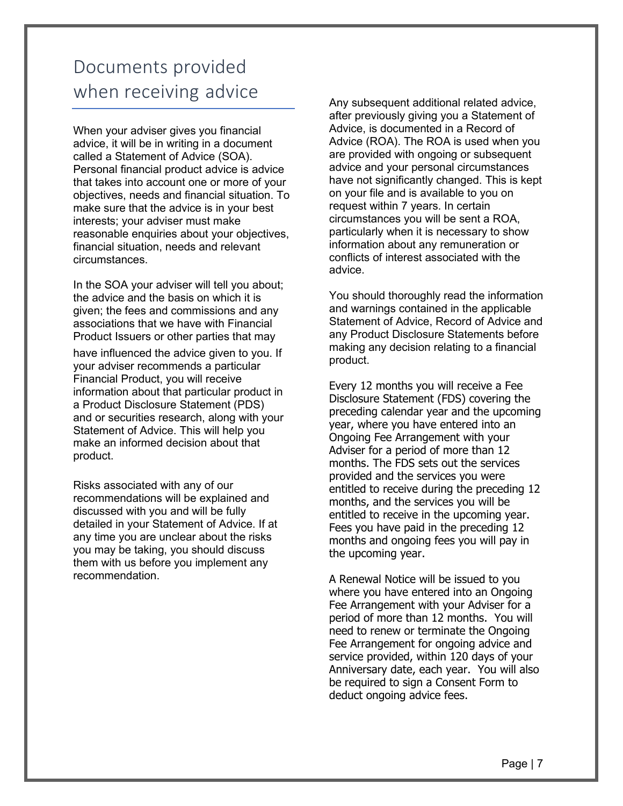# Documents provided when receiving advice

When your adviser gives you financial advice, it will be in writing in a document called a Statement of Advice (SOA). Personal financial product advice is advice that takes into account one or more of your objectives, needs and financial situation. To make sure that the advice is in your best interests; your adviser must make reasonable enquiries about your objectives, financial situation, needs and relevant circumstances.

In the SOA your adviser will tell you about; the advice and the basis on which it is given; the fees and commissions and any associations that we have with Financial Product Issuers or other parties that may

have influenced the advice given to you. If your adviser recommends a particular Financial Product, you will receive information about that particular product in a Product Disclosure Statement (PDS) and or securities research, along with your Statement of Advice. This will help you make an informed decision about that product.

Risks associated with any of our recommendations will be explained and discussed with you and will be fully detailed in your Statement of Advice. If at any time you are unclear about the risks you may be taking, you should discuss them with us before you implement any recommendation.

Any subsequent additional related advice, after previously giving you a Statement of Advice, is documented in a Record of Advice (ROA). The ROA is used when you are provided with ongoing or subsequent advice and your personal circumstances have not significantly changed. This is kept on your file and is available to you on request within 7 years. In certain circumstances you will be sent a ROA, particularly when it is necessary to show information about any remuneration or conflicts of interest associated with the advice.

You should thoroughly read the information and warnings contained in the applicable Statement of Advice, Record of Advice and any Product Disclosure Statements before making any decision relating to a financial product.

Every 12 months you will receive a Fee Disclosure Statement (FDS) covering the preceding calendar year and the upcoming year, where you have entered into an Ongoing Fee Arrangement with your Adviser for a period of more than 12 months. The FDS sets out the services provided and the services you were entitled to receive during the preceding 12 months, and the services you will be entitled to receive in the upcoming year. Fees you have paid in the preceding 12 months and ongoing fees you will pay in the upcoming year.

A Renewal Notice will be issued to you where you have entered into an Ongoing Fee Arrangement with your Adviser for a period of more than 12 months. You will need to renew or terminate the Ongoing Fee Arrangement for ongoing advice and service provided, within 120 days of your Anniversary date, each year. You will also be required to sign a Consent Form to deduct ongoing advice fees.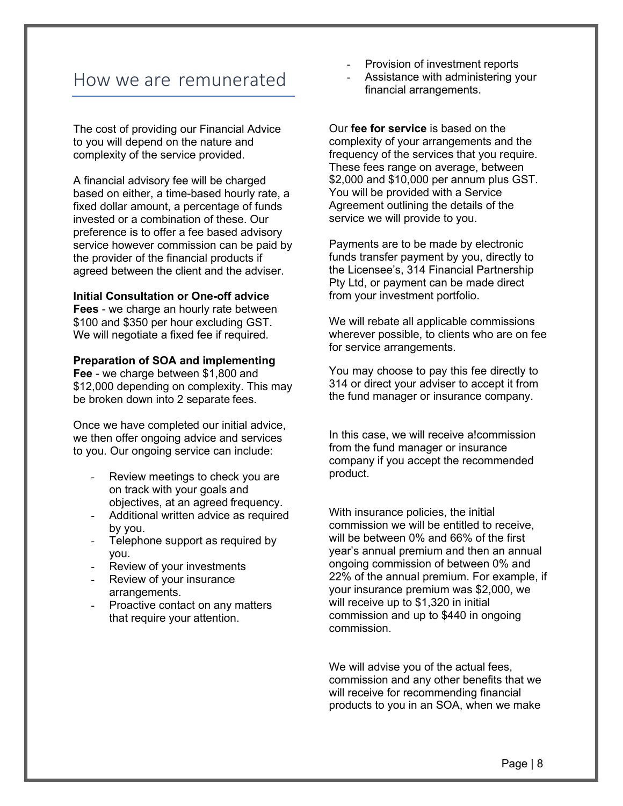#### How we are remunerated

The cost of providing our Financial Advice to you will depend on the nature and complexity of the service provided.

A financial advisory fee will be charged based on either, a time-based hourly rate, a fixed dollar amount, a percentage of funds invested or a combination of these. Our preference is to offer a fee based advisory service however commission can be paid by the provider of the financial products if agreed between the client and the adviser.

#### **Initial Consultation or One-off advice**

**Fees** - we charge an hourly rate between \$100 and \$350 per hour excluding GST. We will negotiate a fixed fee if required.

#### **Preparation of SOA and implementing**

**Fee** - we charge between \$1,800 and \$12,000 depending on complexity. This may be broken down into 2 separate fees.

Once we have completed our initial advice, we then offer ongoing advice and services to you. Our ongoing service can include:

- Review meetings to check you are on track with your goals and objectives, at an agreed frequency.
- Additional written advice as required by you.
- Telephone support as required by you.
- Review of your investments
- Review of your insurance arrangements.
- Proactive contact on any matters that require your attention.
- Provision of investment reports
- Assistance with administering your financial arrangements.

Our **fee for service** is based on the complexity of your arrangements and the frequency of the services that you require. These fees range on average, between \$2,000 and \$10,000 per annum plus GST. You will be provided with a Service Agreement outlining the details of the service we will provide to you.

Payments are to be made by electronic funds transfer payment by you, directly to the Licensee's, 314 Financial Partnership Pty Ltd, or payment can be made direct from your investment portfolio.

We will rebate all applicable commissions wherever possible, to clients who are on fee for service arrangements.

You may choose to pay this fee directly to 314 or direct your adviser to accept it from the fund manager or insurance company.

In this case, we will receive a!commission from the fund manager or insurance company if you accept the recommended product.

With insurance policies, the initial commission we will be entitled to receive, will be between 0% and 66% of the first year's annual premium and then an annual ongoing commission of between 0% and 22% of the annual premium. For example, if your insurance premium was \$2,000, we will receive up to \$1,320 in initial commission and up to \$440 in ongoing commission.

We will advise you of the actual fees, commission and any other benefits that we will receive for recommending financial products to you in an SOA, when we make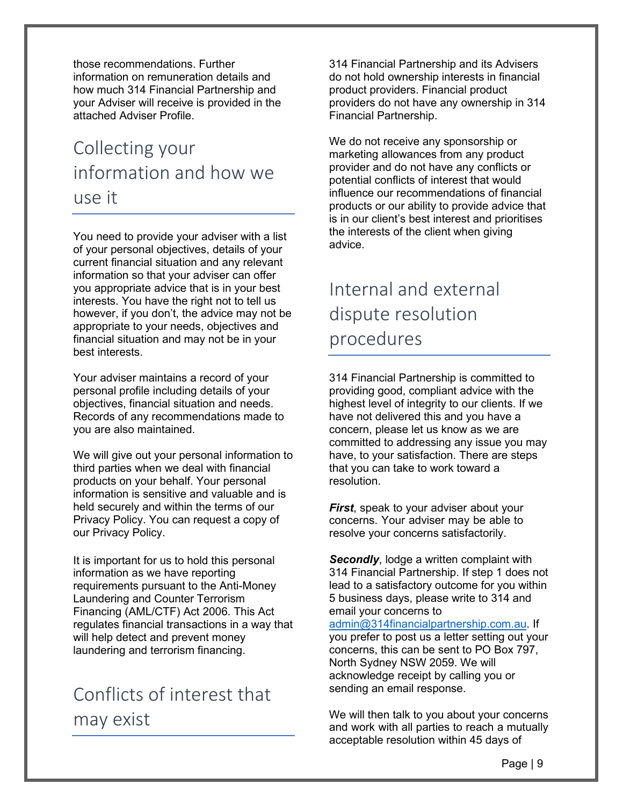those recommendations. Further information on remuneration details and how much 314 Financial Partnership and your Adviser will receive is provided in the attached Adviser Profile.

# Collecting your information and how we use it

You need to provide your adviser with a list of your personal objectives, details of your current financial situation and any relevant information so that your adviser can offer you appropriate advice that is in your best interests. You have the right not to tell us however, if you don't, the advice may not be appropriate to your needs, objectives and financial situation and may not be in your best interests.

Your adviser maintains a record of your personal profile including details of your objectives, financial situation and needs. Records of any recommendations made to you are also maintained.

We will give out your personal information to third parties when we deal with financial products on your behalf. Your personal information is sensitive and valuable and is held securely and within the terms of our Privacy Policy. You can request a copy of our Privacy Policy.

It is important for us to hold this personal information as we have reporting requirements pursuant to the Anti-Money Laundering and Counter Terrorism Financing (AML/CTF) Act 2006. This Act regulates financial transactions in a way that will help detect and prevent money laundering and terrorism financing.

# Conflicts of interest that may exist

314 Financial Partnership and its Advisers do not hold ownership interests in financial product providers. Financial product providers do not have any ownership in 314 Financial Partnership.

We do not receive any sponsorship or marketing allowances from any product provider and do not have any conflicts or potential conflicts of interest that would influence our recommendations of financial products or our ability to provide advice that is in our client's best interest and prioritises the interests of the client when giving advice.

# Internal and external dispute resolution procedures

314 Financial Partnership is committed to providing good, compliant advice with the highest level of integrity to our clients. If we have not delivered this and you have a concern, please let us know as we are committed to addressing any issue you may have, to your satisfaction. There are steps that you can take to work toward a resolution.

*First*, speak to your adviser about your concerns. Your adviser may be able to resolve your concerns satisfactorily.

*Secondly*, lodge a written complaint with 314 Financial Partnership. If step 1 does not lead to a satisfactory outcome for you within 5 business days, please write to 314 and email your concerns to [admin@314financialpartnership.com.au.](mailto:admin@314financialpartnership.com.au) If you prefer to post us a letter setting out your concerns, this can be sent to PO Box 797, North Sydney NSW 2059. We will acknowledge receipt by calling you or sending an email response.

We will then talk to you about your concerns and work with all parties to reach a mutually acceptable resolution within 45 days of